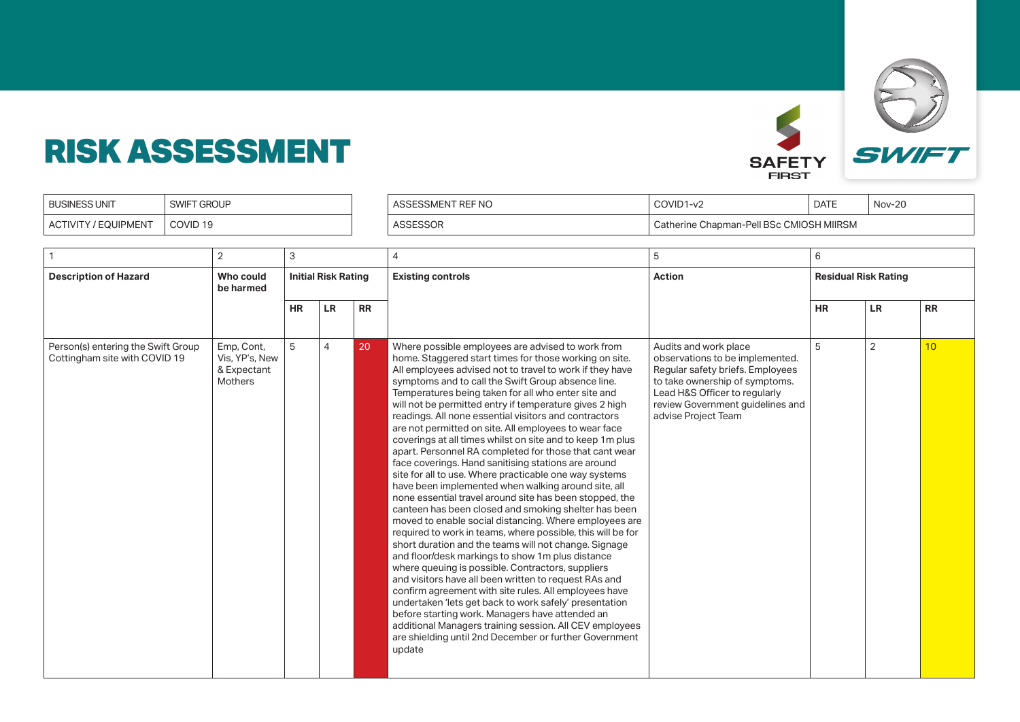

| <b>BUSINESS UNIT</b>        | <b>SWIF</b><br>" GROUP | КE<br>ั∹ NC | COVID1<br>. $11 - V'$                                       | <b>DATE</b> | <b>Nov-20</b> |
|-----------------------------|------------------------|-------------|-------------------------------------------------------------|-------------|---------------|
| EQUIPMENT<br><b>ACTIVIT</b> | COVID <sub>19</sub>    |             | <b>CMIOSH MIIRSM</b><br>ا Chapman-Pell BSc ؛<br>Catherine ' |             |               |

|                                                                     | $\overline{2}$                                         | 3                          |                |           | 4                                                                                                                                                                                                                                                                                                                                                                                                                                                                                                                                                                                                                                                                                                                                                                                                                                                                                                                                                                                                                                                                                                                                                                                                                                                                                                                                                                                                                                                                                                                                            | 5                                                                                                                                                                                                                          | 6                           |                |           |
|---------------------------------------------------------------------|--------------------------------------------------------|----------------------------|----------------|-----------|----------------------------------------------------------------------------------------------------------------------------------------------------------------------------------------------------------------------------------------------------------------------------------------------------------------------------------------------------------------------------------------------------------------------------------------------------------------------------------------------------------------------------------------------------------------------------------------------------------------------------------------------------------------------------------------------------------------------------------------------------------------------------------------------------------------------------------------------------------------------------------------------------------------------------------------------------------------------------------------------------------------------------------------------------------------------------------------------------------------------------------------------------------------------------------------------------------------------------------------------------------------------------------------------------------------------------------------------------------------------------------------------------------------------------------------------------------------------------------------------------------------------------------------------|----------------------------------------------------------------------------------------------------------------------------------------------------------------------------------------------------------------------------|-----------------------------|----------------|-----------|
| <b>Description of Hazard</b>                                        | Who could<br>be harmed                                 | <b>Initial Risk Rating</b> |                |           | <b>Existing controls</b>                                                                                                                                                                                                                                                                                                                                                                                                                                                                                                                                                                                                                                                                                                                                                                                                                                                                                                                                                                                                                                                                                                                                                                                                                                                                                                                                                                                                                                                                                                                     | <b>Action</b>                                                                                                                                                                                                              | <b>Residual Risk Rating</b> |                |           |
|                                                                     |                                                        | <b>HR</b>                  | <b>LR</b>      | <b>RR</b> |                                                                                                                                                                                                                                                                                                                                                                                                                                                                                                                                                                                                                                                                                                                                                                                                                                                                                                                                                                                                                                                                                                                                                                                                                                                                                                                                                                                                                                                                                                                                              |                                                                                                                                                                                                                            | <b>HR</b>                   | LR             | <b>RR</b> |
| Person(s) entering the Swift Group<br>Cottingham site with COVID 19 | Emp, Cont,<br>Vis, YP's, New<br>& Expectant<br>Mothers | 5                          | $\overline{4}$ | 20        | Where possible employees are advised to work from<br>home. Staggered start times for those working on site.<br>All employees advised not to travel to work if they have<br>symptoms and to call the Swift Group absence line.<br>Temperatures being taken for all who enter site and<br>will not be permitted entry if temperature gives 2 high<br>readings. All none essential visitors and contractors<br>are not permitted on site. All employees to wear face<br>coverings at all times whilst on site and to keep 1m plus<br>apart. Personnel RA completed for those that cant wear<br>face coverings. Hand sanitising stations are around<br>site for all to use. Where practicable one way systems<br>have been implemented when walking around site, all<br>none essential travel around site has been stopped, the<br>canteen has been closed and smoking shelter has been<br>moved to enable social distancing. Where employees are<br>required to work in teams, where possible, this will be for<br>short duration and the teams will not change. Signage<br>and floor/desk markings to show 1m plus distance<br>where queuing is possible. Contractors, suppliers<br>and visitors have all been written to request RAs and<br>confirm agreement with site rules. All employees have<br>undertaken 'lets get back to work safely' presentation<br>before starting work. Managers have attended an<br>additional Managers training session. All CEV employees<br>are shielding until 2nd December or further Government<br>update | Audits and work place<br>observations to be implemented.<br>Regular safety briefs. Employees<br>to take ownership of symptoms.<br>Lead H&S Officer to regularly<br>review Government guidelines and<br>advise Project Team | 5                           | $\overline{2}$ | 10        |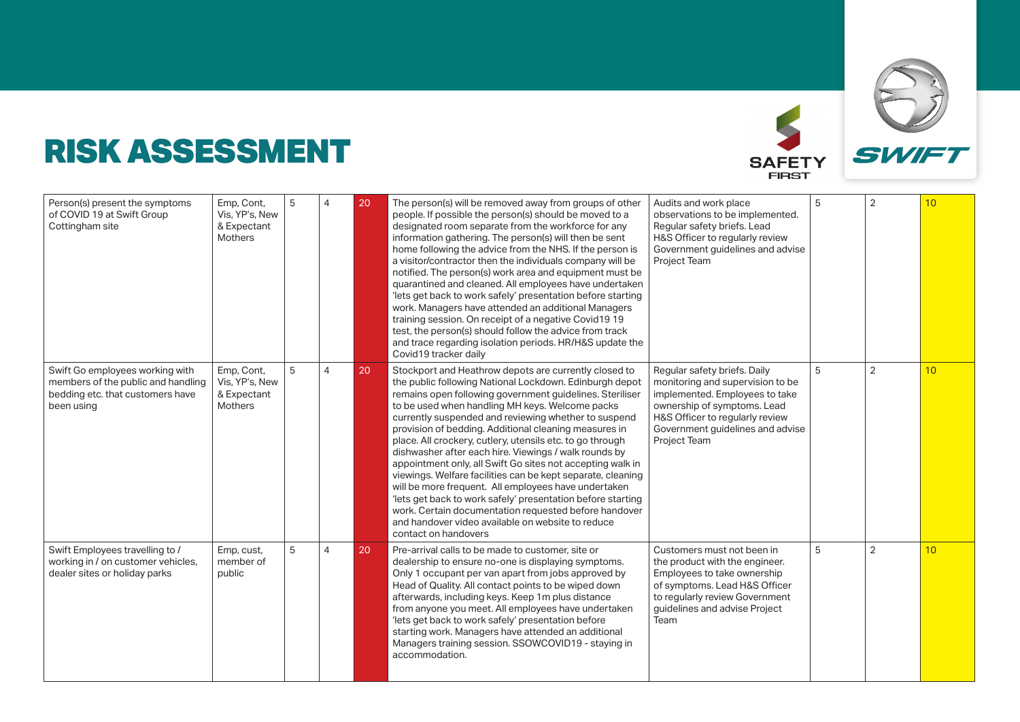

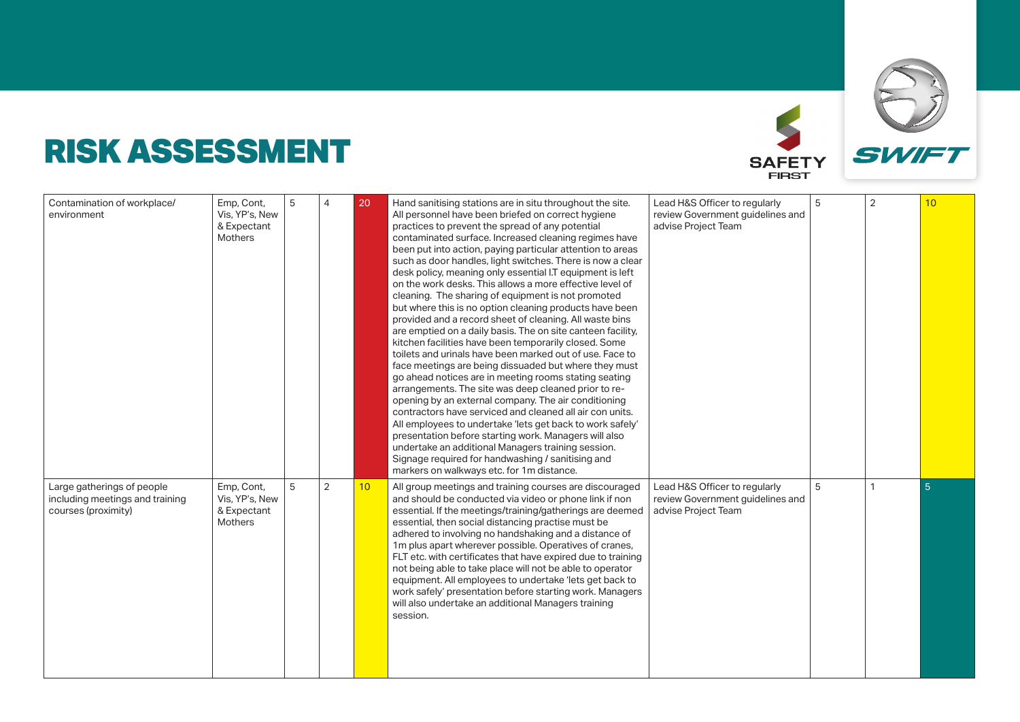

| Contamination of workplace/<br>environment                                           | Emp, Cont,<br>Vis, YP's, New<br>& Expectant<br>Mothers | 5 |                | 20 | Hand sanitising stations are in situ throughout the site.<br>All personnel have been briefed on correct hygiene<br>practices to prevent the spread of any potential<br>contaminated surface. Increased cleaning regimes have<br>been put into action, paying particular attention to areas<br>such as door handles, light switches. There is now a clear<br>desk policy, meaning only essential I.T equipment is left<br>on the work desks. This allows a more effective level of<br>cleaning. The sharing of equipment is not promoted<br>but where this is no option cleaning products have been<br>provided and a record sheet of cleaning. All waste bins<br>are emptied on a daily basis. The on site canteen facility,<br>kitchen facilities have been temporarily closed. Some<br>toilets and urinals have been marked out of use. Face to<br>face meetings are being dissuaded but where they must<br>go ahead notices are in meeting rooms stating seating<br>arrangements. The site was deep cleaned prior to re-<br>opening by an external company. The air conditioning<br>contractors have serviced and cleaned all air con units.<br>All employees to undertake 'lets get back to work safely'<br>presentation before starting work. Managers will also<br>undertake an additional Managers training session.<br>Signage required for handwashing / sanitising and<br>markers on walkways etc. for 1m distance. | Lead H&S Officer to regularly<br>review Government guidelines and<br>advise Project Team | 5 | $\overline{2}$ | 10             |
|--------------------------------------------------------------------------------------|--------------------------------------------------------|---|----------------|----|-------------------------------------------------------------------------------------------------------------------------------------------------------------------------------------------------------------------------------------------------------------------------------------------------------------------------------------------------------------------------------------------------------------------------------------------------------------------------------------------------------------------------------------------------------------------------------------------------------------------------------------------------------------------------------------------------------------------------------------------------------------------------------------------------------------------------------------------------------------------------------------------------------------------------------------------------------------------------------------------------------------------------------------------------------------------------------------------------------------------------------------------------------------------------------------------------------------------------------------------------------------------------------------------------------------------------------------------------------------------------------------------------------------------------------|------------------------------------------------------------------------------------------|---|----------------|----------------|
| Large gatherings of people<br>including meetings and training<br>courses (proximity) | Emp, Cont,<br>Vis, YP's, New<br>& Expectant<br>Mothers | 5 | $\overline{2}$ | 10 | All group meetings and training courses are discouraged<br>and should be conducted via video or phone link if non<br>essential. If the meetings/training/gatherings are deemed<br>essential, then social distancing practise must be<br>adhered to involving no handshaking and a distance of<br>1m plus apart wherever possible. Operatives of cranes,<br>FLT etc. with certificates that have expired due to training<br>not being able to take place will not be able to operator<br>equipment. All employees to undertake 'lets get back to<br>work safely' presentation before starting work. Managers<br>will also undertake an additional Managers training<br>session.                                                                                                                                                                                                                                                                                                                                                                                                                                                                                                                                                                                                                                                                                                                                                | Lead H&S Officer to regularly<br>review Government quidelines and<br>advise Project Team | 5 | 1              | 5 <sup>1</sup> |